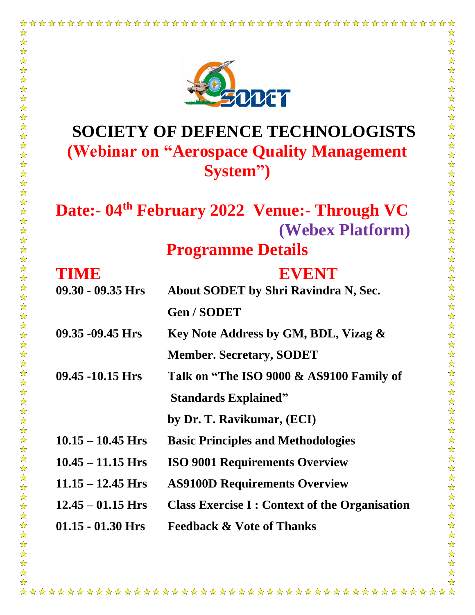

☆

 $\frac{1}{N}$ 

 $\frac{1}{\sqrt{2}}$  $\frac{1}{\mathcal{N}}$ 

☆☆☆☆☆☆☆☆☆☆☆☆☆☆☆☆☆☆☆☆☆

2公公公公公公公

卒

 $\frac{1}{\sqrt{2}}$ 

5岁以:

琴琴琴

计公众公众公众

琴琴琴

 $\frac{1}{\mathcal{N}}$ 

54 25

 $\frac{1}{\mathbf{k}^2}$ 

公众公众公

 $\frac{1}{\sqrt{2}}$ 

☆

 $\frac{1}{\sqrt{2}}$ 

 $\frac{\lambda}{\lambda}$ 

 $\frac{1}{\mathbf{k}}$  $\frac{1}{\sqrt{2}}$ 

 $\frac{1}{\sqrt{2}}$  $\frac{1}{\sqrt{2}}$ 

54 54  $\frac{1}{\sqrt{2}}$  $\frac{1}{\mathcal{N}}$  $\sum_{i=1}^{n}$ 

☆☆☆☆☆☆☆☆

 $\frac{1}{\mathcal{N}}$  $\frac{1}{\sqrt{2}}$  $\frac{\lambda}{\lambda}$  $\frac{1}{\mathbf{k}^{\prime}}$ 24 24

 $\frac{1}{\mathcal{N}}$  $\frac{1}{\sqrt{2}}$  $\overrightarrow{\mathbf{x}}$  $\frac{1}{\mathbf{k}^2}$  $\frac{1}{\sqrt{2}}$ 25 经

 $\frac{1}{\sqrt{2}}$ 

55年

24 24 24

24 24 24

24 24 24

 $\frac{1}{\mathcal{N}}$ 

 $\frac{1}{\mathcal{N}}$  $\overrightarrow{\mathbf{x}}$  $\frac{1}{\mathcal{N}}$ 

 $\frac{1}{\lambda}$  $\frac{1}{2}$ 

 $\frac{1}{\sqrt{2}}$  $-\frac{1}{2}$ 

 $\frac{1}{\sqrt{2}}$ 

 $\frac{1}{\sqrt{2}}$ 2个好?  $\frac{1}{\mathcal{N}}$  $\frac{1}{2}$ 

## **SOCIETY OF DEFENCE TECHNOLOGISTS (Webinar on "Aerospace Quality Management System")**

## **Date:- 04th February 2022 Venue:- Through VC (Webex Platform)**

**Programme Details**

| TIME                | EVENT                                                |
|---------------------|------------------------------------------------------|
| $09.30 - 09.35$ Hrs | <b>About SODET by Shri Ravindra N, Sec.</b>          |
|                     | <b>Gen/SODET</b>                                     |
| $09.35 - 09.45$ Hrs | Key Note Address by GM, BDL, Vizag &                 |
|                     | <b>Member. Secretary, SODET</b>                      |
| $09.45 - 10.15$ Hrs | Talk on "The ISO 9000 & AS9100 Family of             |
|                     | <b>Standards Explained"</b>                          |
|                     | by Dr. T. Ravikumar, (ECI)                           |
| $10.15 - 10.45$ Hrs | <b>Basic Principles and Methodologies</b>            |
| $10.45 - 11.15$ Hrs | <b>ISO 9001 Requirements Overview</b>                |
| $11.15 - 12.45$ Hrs | <b>AS9100D Requirements Overview</b>                 |
| $12.45 - 01.15$ Hrs | <b>Class Exercise I: Context of the Organisation</b> |
| $01.15 - 01.30$ Hrs | <b>Feedback &amp; Vote of Thanks</b>                 |